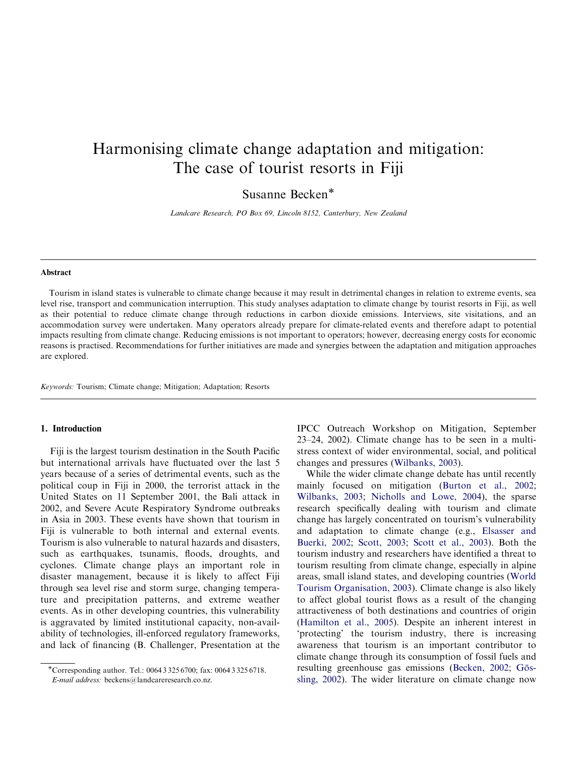# Harmonising climate change adaptation and mitigation: The case of tourist resorts in Fiji

Susanne Becken

Landcare Research, PO Box 69, Lincoln 8152, Canterbury, New Zealand

#### Abstract

Tourism in island states is vulnerable to climate change because it may result in detrimental changes in relation to extreme events, sea level rise, transport and communication interruption. This study analyses adaptation to climate change by tourist resorts in Fiji, as well as their potential to reduce climate change through reductions in carbon dioxide emissions. Interviews, site visitations, and an accommodation survey were undertaken. Many operators already prepare for climate-related events and therefore adapt to potential impacts resulting from climate change. Reducing emissions is not important to operators; however, decreasing energy costs for economic reasons is practised. Recommendations for further initiatives are made and synergies between the adaptation and mitigation approaches are explored.

Keywords: Tourism; Climate change; Mitigation; Adaptation; Resorts

#### 1. Introduction

Fiji is the largest tourism destination in the South Pacific but international arrivals have fluctuated over the last 5 years because of a series of detrimental events, such as the political coup in Fiji in 2000, the terrorist attack in the United States on 11 September 2001, the Bali attack in 2002, and Severe Acute Respiratory Syndrome outbreaks in Asia in 2003. These events have shown that tourism in Fiji is vulnerable to both internal and external events. Tourism is also vulnerable to natural hazards and disasters, such as earthquakes, tsunamis, floods, droughts, and cyclones. Climate change plays an important role in disaster management, because it is likely to affect Fiji through sea level rise and storm surge, changing temperature and precipitation patterns, and extreme weather events. As in other developing countries, this vulnerability is aggravated by limited institutional capacity, non-availability of technologies, ill-enforced regulatory frameworks, and lack of financing (B. Challenger, Presentation at the IPCC Outreach Workshop on Mitigation, September 23–24, 2002). Climate change has to be seen in a multistress context of wider environmental, social, and political changes and pressures [\(Wilbanks, 2003](#page-12-0)).

While the wider climate change debate has until recently mainly focused on mitigation [\(Burton et al., 2002;](#page-11-0) [Wilbanks, 2003;](#page-12-0) [Nicholls and Lowe, 2004](#page-11-0)), the sparse research specifically dealing with tourism and climate change has largely concentrated on tourism's vulnerability and adaptation to climate change (e.g., [Elsasser and](#page-11-0) [Buerki, 2002;](#page-11-0) [Scott, 2003;](#page-12-0) [Scott et al., 2003\)](#page-12-0). Both the tourism industry and researchers have identified a threat to tourism resulting from climate change, especially in alpine areas, small island states, and developing countries [\(World](#page-12-0) [Tourism Organisation, 2003](#page-12-0)). Climate change is also likely to affect global tourist flows as a result of the changing attractiveness of both destinations and countries of origin ([Hamilton et al., 2005\)](#page-11-0). Despite an inherent interest in 'protecting' the tourism industry, there is increasing awareness that tourism is an important contributor to climate change through its consumption of fossil fuels and resulting greenhouse gas emissions ([Becken, 2002;](#page-11-0) Gös[sling, 2002](#page-11-0)). The wider literature on climate change now

Corresponding author. Tel.: 0064 3 325 6700; fax: 0064 3 325 6718. E-mail address: beckens@landcareresearch.co.nz.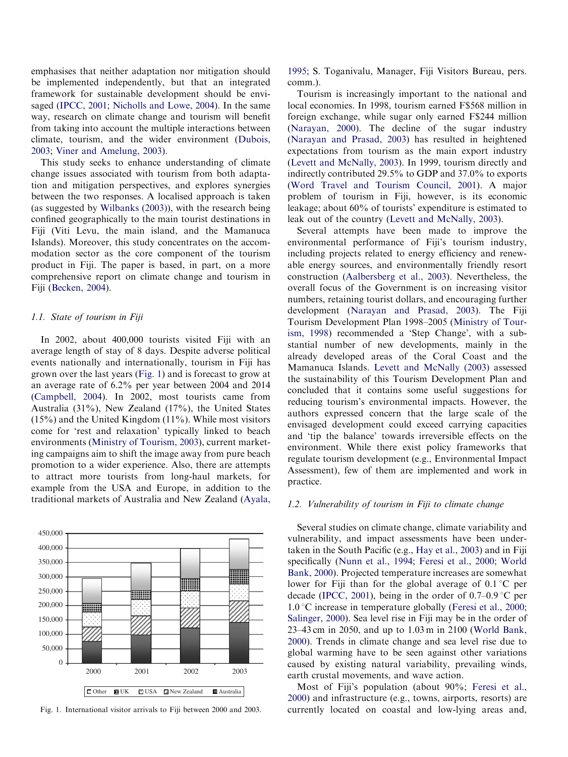emphasises that neither adaptation nor mitigation should be implemented independently, but that an integrated framework for sustainable development should be envisaged ([IPCC, 2001;](#page-11-0) [Nicholls and Lowe, 2004\)](#page-11-0). In the same way, research on climate change and tourism will benefit from taking into account the multiple interactions between climate, tourism, and the wider environment ([Dubois,](#page-11-0) [2003;](#page-11-0) [Viner and Amelung, 2003\)](#page-12-0).

This study seeks to enhance understanding of climate change issues associated with tourism from both adaptation and mitigation perspectives, and explores synergies between the two responses. A localised approach is taken (as suggested by [Wilbanks \(2003\)\)](#page-12-0), with the research being confined geographically to the main tourist destinations in Fiji (Viti Levu, the main island, and the Mamanuca Islands). Moreover, this study concentrates on the accommodation sector as the core component of the tourism product in Fiji. The paper is based, in part, on a more comprehensive report on climate change and tourism in Fiji [\(Becken, 2004\)](#page-11-0).

## 1.1. State of tourism in Fiji

In 2002, about 400,000 tourists visited Fiji with an average length of stay of 8 days. Despite adverse political events nationally and internationally, tourism in Fiji has grown over the last years (Fig. 1) and is forecast to grow at an average rate of 6.2% per year between 2004 and 2014 [\(Campbell, 2004](#page-11-0)). In 2002, most tourists came from Australia (31%), New Zealand (17%), the United States  $(15\%)$  and the United Kingdom  $(11\%)$ . While most visitors come for 'rest and relaxation' typically linked to beach environments [\(Ministry of Tourism, 2003](#page-11-0)), current marketing campaigns aim to shift the image away from pure beach promotion to a wider experience. Also, there are attempts to attract more tourists from long-haul markets, for example from the USA and Europe, in addition to the traditional markets of Australia and New Zealand ([Ayala,](#page-11-0)

## 450,000 400,000 350,000 300,000 ▒ 250,000 WW 200,000 ENNIN 150,000 100,000 50,000  $\Omega$ 2000 2001 2002 2003 Other UK USA New Zealand Australia

Fig. 1. International visitor arrivals to Fiji between 2000 and 2003.

[1995;](#page-11-0) S. Toganivalu, Manager, Fiji Visitors Bureau, pers. comm.).

Tourism is increasingly important to the national and local economies. In 1998, tourism earned F\$568 million in foreign exchange, while sugar only earned F\$244 million [\(Narayan, 2000](#page-11-0)). The decline of the sugar industry [\(Narayan and Prasad, 2003](#page-11-0)) has resulted in heightened expectations from tourism as the main export industry [\(Levett and McNally, 2003](#page-11-0)). In 1999, tourism directly and indirectly contributed 29.5% to GDP and 37.0% to exports [\(Word Travel and Tourism Council, 2001](#page-12-0)). A major problem of tourism in Fiji, however, is its economic leakage; about 60% of tourists' expenditure is estimated to leak out of the country ([Levett and McNally, 2003](#page-11-0)).

Several attempts have been made to improve the environmental performance of Fiji's tourism industry, including projects related to energy efficiency and renewable energy sources, and environmentally friendly resort construction ([Aalbersberg et al., 2003](#page-11-0)). Nevertheless, the overall focus of the Government is on increasing visitor numbers, retaining tourist dollars, and encouraging further development ([Narayan and Prasad, 2003\)](#page-11-0). The Fiji Tourism Development Plan 1998–2005 ([Ministry of Tour](#page-11-0)[ism, 1998\)](#page-11-0) recommended a 'Step Change', with a substantial number of new developments, mainly in the already developed areas of the Coral Coast and the Mamanuca Islands. [Levett and McNally \(2003\)](#page-11-0) assessed the sustainability of this Tourism Development Plan and concluded that it contains some useful suggestions for reducing tourism's environmental impacts. However, the authors expressed concern that the large scale of the envisaged development could exceed carrying capacities and 'tip the balance' towards irreversible effects on the environment. While there exist policy frameworks that regulate tourism development (e.g., Environmental Impact Assessment), few of them are implemented and work in practice.

#### 1.2. Vulnerability of tourism in Fiji to climate change

Several studies on climate change, climate variability and vulnerability, and impact assessments have been undertaken in the South Pacific (e.g., [Hay et al., 2003\)](#page-11-0) and in Fiji specifically [\(Nunn et al., 1994;](#page-11-0) [Feresi et al., 2000;](#page-11-0) [World](#page-12-0) [Bank, 2000](#page-12-0)). Projected temperature increases are somewhat lower for Fiji than for the global average of  $0.1 \degree C$  per decade ([IPCC, 2001](#page-11-0)), being in the order of  $0.7-0.9$  °C per  $1.0 \degree$ C increase in temperature globally [\(Feresi et al., 2000](#page-11-0); [Salinger, 2000\)](#page-12-0). Sea level rise in Fiji may be in the order of 23–43 cm in 2050, and up to 1.03 m in 2100 ([World Bank,](#page-12-0) [2000\)](#page-12-0). Trends in climate change and sea level rise due to global warming have to be seen against other variations caused by existing natural variability, prevailing winds, earth crustal movements, and wave action.

Most of Fiji's population (about 90%; [Feresi et al.,](#page-11-0) [2000\)](#page-11-0) and infrastructure (e.g., towns, airports, resorts) are currently located on coastal and low-lying areas and,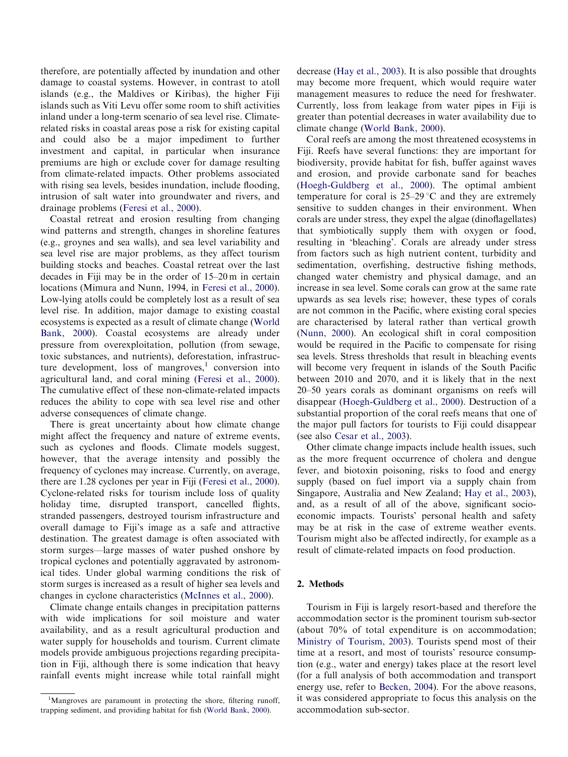therefore, are potentially affected by inundation and other damage to coastal systems. However, in contrast to atoll islands (e.g., the Maldives or Kiribas), the higher Fiji islands such as Viti Levu offer some room to shift activities inland under a long-term scenario of sea level rise. Climaterelated risks in coastal areas pose a risk for existing capital and could also be a major impediment to further investment and capital, in particular when insurance premiums are high or exclude cover for damage resulting from climate-related impacts. Other problems associated with rising sea levels, besides inundation, include flooding, intrusion of salt water into groundwater and rivers, and drainage problems ([Feresi et al., 2000](#page-11-0)).

Coastal retreat and erosion resulting from changing wind patterns and strength, changes in shoreline features (e.g., groynes and sea walls), and sea level variability and sea level rise are major problems, as they affect tourism building stocks and beaches. Coastal retreat over the last decades in Fiji may be in the order of 15–20 m in certain locations (Mimura and Nunn, 1994, in [Feresi et al., 2000\)](#page-11-0). Low-lying atolls could be completely lost as a result of sea level rise. In addition, major damage to existing coastal ecosystems is expected as a result of climate change [\(World](#page-12-0) [Bank, 2000](#page-12-0)). Coastal ecosystems are already under pressure from overexploitation, pollution (from sewage, toxic substances, and nutrients), deforestation, infrastructure development, loss of mangroves, $\frac{1}{1}$  conversion into agricultural land, and coral mining [\(Feresi et al., 2000\)](#page-11-0). The cumulative effect of these non-climate-related impacts reduces the ability to cope with sea level rise and other adverse consequences of climate change.

There is great uncertainty about how climate change might affect the frequency and nature of extreme events, such as cyclones and floods. Climate models suggest, however, that the average intensity and possibly the frequency of cyclones may increase. Currently, on average, there are 1.28 cyclones per year in Fiji [\(Feresi et al., 2000\)](#page-11-0). Cyclone-related risks for tourism include loss of quality holiday time, disrupted transport, cancelled flights, stranded passengers, destroyed tourism infrastructure and overall damage to Fiji's image as a safe and attractive destination. The greatest damage is often associated with storm surges—large masses of water pushed onshore by tropical cyclones and potentially aggravated by astronomical tides. Under global warming conditions the risk of storm surges is increased as a result of higher sea levels and changes in cyclone characteristics [\(McInnes et al., 2000](#page-11-0)).

Climate change entails changes in precipitation patterns with wide implications for soil moisture and water availability, and as a result agricultural production and water supply for households and tourism. Current climate models provide ambiguous projections regarding precipitation in Fiji, although there is some indication that heavy rainfall events might increase while total rainfall might decrease [\(Hay et al., 2003](#page-11-0)). It is also possible that droughts may become more frequent, which would require water management measures to reduce the need for freshwater. Currently, loss from leakage from water pipes in Fiji is greater than potential decreases in water availability due to climate change ([World Bank, 2000](#page-12-0)).

Coral reefs are among the most threatened ecosystems in Fiji. Reefs have several functions: they are important for biodiversity, provide habitat for fish, buffer against waves and erosion, and provide carbonate sand for beaches ([Hoegh-Guldberg et al., 2000](#page-11-0)). The optimal ambient temperature for coral is  $25-29$  °C and they are extremely sensitive to sudden changes in their environment. When corals are under stress, they expel the algae (dinoflagellates) that symbiotically supply them with oxygen or food, resulting in 'bleaching'. Corals are already under stress from factors such as high nutrient content, turbidity and sedimentation, overfishing, destructive fishing methods, changed water chemistry and physical damage, and an increase in sea level. Some corals can grow at the same rate upwards as sea levels rise; however, these types of corals are not common in the Pacific, where existing coral species are characterised by lateral rather than vertical growth ([Nunn, 2000\)](#page-11-0). An ecological shift in coral composition would be required in the Pacific to compensate for rising sea levels. Stress thresholds that result in bleaching events will become very frequent in islands of the South Pacific between 2010 and 2070, and it is likely that in the next 20–50 years corals as dominant organisms on reefs will disappear [\(Hoegh-Guldberg et al., 2000](#page-11-0)). Destruction of a substantial proportion of the coral reefs means that one of the major pull factors for tourists to Fiji could disappear (see also [Cesar et al., 2003](#page-11-0)).

Other climate change impacts include health issues, such as the more frequent occurrence of cholera and dengue fever, and biotoxin poisoning, risks to food and energy supply (based on fuel import via a supply chain from Singapore, Australia and New Zealand; [Hay et al., 2003\)](#page-11-0), and, as a result of all of the above, significant socioeconomic impacts. Tourists' personal health and safety may be at risk in the case of extreme weather events. Tourism might also be affected indirectly, for example as a result of climate-related impacts on food production.

## 2. Methods

Tourism in Fiji is largely resort-based and therefore the accommodation sector is the prominent tourism sub-sector (about 70% of total expenditure is on accommodation; [Ministry of Tourism, 2003\)](#page-11-0). Tourists spend most of their time at a resort, and most of tourists' resource consumption (e.g., water and energy) takes place at the resort level (for a full analysis of both accommodation and transport energy use, refer to [Becken, 2004](#page-11-0)). For the above reasons, it was considered appropriate to focus this analysis on the accommodation sub-sector.

<sup>&</sup>lt;sup>1</sup>Mangroves are paramount in protecting the shore, filtering runoff, trapping sediment, and providing habitat for fish ([World Bank, 2000](#page-12-0)).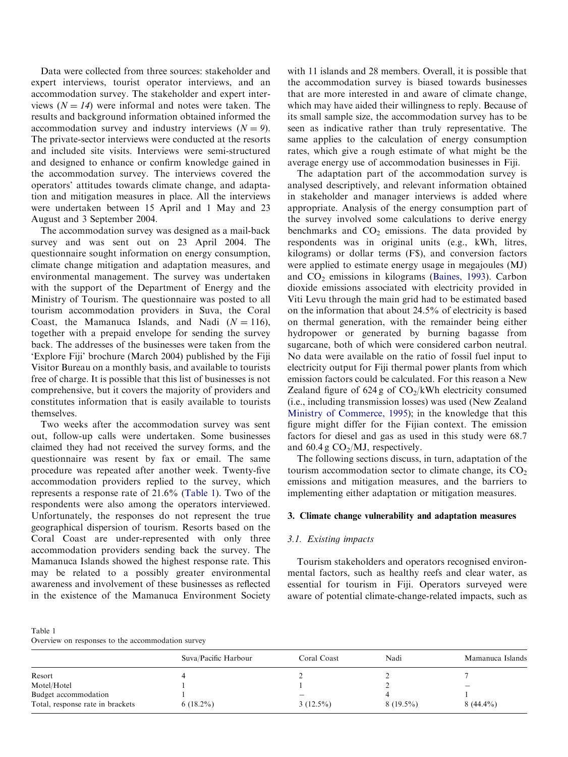Data were collected from three sources: stakeholder and expert interviews, tourist operator interviews, and an accommodation survey. The stakeholder and expert interviews  $(N = 14)$  were informal and notes were taken. The results and background information obtained informed the accommodation survey and industry interviews  $(N = 9)$ . The private-sector interviews were conducted at the resorts and included site visits. Interviews were semi-structured and designed to enhance or confirm knowledge gained in the accommodation survey. The interviews covered the operators' attitudes towards climate change, and adaptation and mitigation measures in place. All the interviews were undertaken between 15 April and 1 May and 23 August and 3 September 2004.

The accommodation survey was designed as a mail-back survey and was sent out on 23 April 2004. The questionnaire sought information on energy consumption, climate change mitigation and adaptation measures, and environmental management. The survey was undertaken with the support of the Department of Energy and the Ministry of Tourism. The questionnaire was posted to all tourism accommodation providers in Suva, the Coral Coast, the Mamanuca Islands, and Nadi  $(N = 116)$ , together with a prepaid envelope for sending the survey back. The addresses of the businesses were taken from the 'Explore Fiji' brochure (March 2004) published by the Fiji Visitor Bureau on a monthly basis, and available to tourists free of charge. It is possible that this list of businesses is not comprehensive, but it covers the majority of providers and constitutes information that is easily available to tourists themselves.

Two weeks after the accommodation survey was sent out, follow-up calls were undertaken. Some businesses claimed they had not received the survey forms, and the questionnaire was resent by fax or email. The same procedure was repeated after another week. Twenty-five accommodation providers replied to the survey, which represents a response rate of 21.6% (Table 1). Two of the respondents were also among the operators interviewed. Unfortunately, the responses do not represent the true geographical dispersion of tourism. Resorts based on the Coral Coast are under-represented with only three accommodation providers sending back the survey. The Mamanuca Islands showed the highest response rate. This may be related to a possibly greater environmental awareness and involvement of these businesses as reflected in the existence of the Mamanuca Environment Society with 11 islands and 28 members. Overall, it is possible that the accommodation survey is biased towards businesses that are more interested in and aware of climate change, which may have aided their willingness to reply. Because of its small sample size, the accommodation survey has to be seen as indicative rather than truly representative. The same applies to the calculation of energy consumption rates, which give a rough estimate of what might be the average energy use of accommodation businesses in Fiji.

The adaptation part of the accommodation survey is analysed descriptively, and relevant information obtained in stakeholder and manager interviews is added where appropriate. Analysis of the energy consumption part of the survey involved some calculations to derive energy benchmarks and  $CO<sub>2</sub>$  emissions. The data provided by respondents was in original units (e.g., kWh, litres, kilograms) or dollar terms (F\$), and conversion factors were applied to estimate energy usage in megajoules (MJ) and  $CO<sub>2</sub>$  emissions in kilograms [\(Baines, 1993](#page-11-0)). Carbon dioxide emissions associated with electricity provided in Viti Levu through the main grid had to be estimated based on the information that about 24.5% of electricity is based on thermal generation, with the remainder being either hydropower or generated by burning bagasse from sugarcane, both of which were considered carbon neutral. No data were available on the ratio of fossil fuel input to electricity output for Fiji thermal power plants from which emission factors could be calculated. For this reason a New Zealand figure of  $624 g$  of  $CO<sub>2</sub>/kWh$  electricity consumed (i.e., including transmission losses) was used (New Zealand [Ministry of Commerce, 1995\)](#page-11-0); in the knowledge that this figure might differ for the Fijian context. The emission factors for diesel and gas as used in this study were 68.7 and  $60.4 \text{ g } CO_2/\text{MJ}$ , respectively.

The following sections discuss, in turn, adaptation of the tourism accommodation sector to climate change, its  $CO<sub>2</sub>$ emissions and mitigation measures, and the barriers to implementing either adaptation or mitigation measures.

## 3. Climate change vulnerability and adaptation measures

#### 3.1. Existing impacts

Tourism stakeholders and operators recognised environmental factors, such as healthy reefs and clear water, as essential for tourism in Fiji. Operators surveyed were aware of potential climate-change-related impacts, such as

|--|

Overview on responses to the accommodation survey

|                                  | Suva/Pacific Harbour | Coral Coast | Nadi        | Mamanuca Islands |
|----------------------------------|----------------------|-------------|-------------|------------------|
| Resort                           |                      |             |             |                  |
| Motel/Hotel                      |                      |             |             |                  |
| Budget accommodation             |                      |             |             |                  |
| Total, response rate in brackets | $6(18.2\%)$          | $3(12.5\%)$ | $8(19.5\%)$ | $8(44.4\%)$      |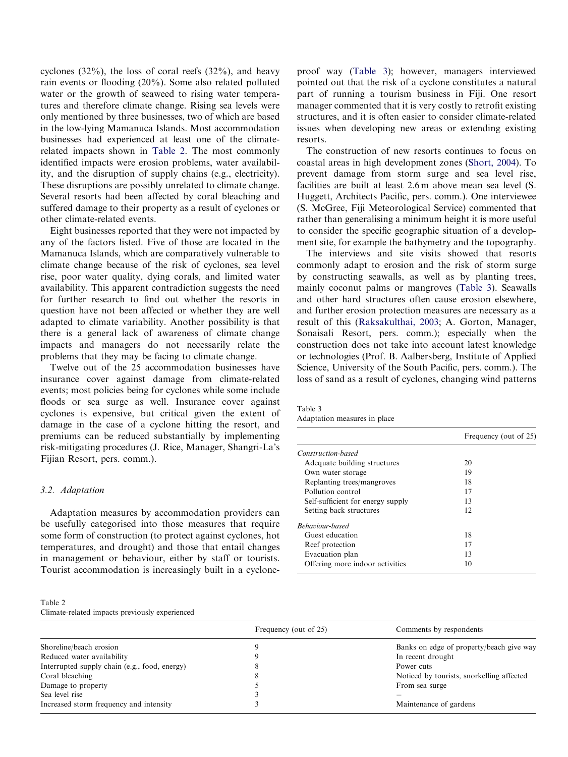cyclones  $(32\%)$ , the loss of coral reefs  $(32\%)$ , and heavy rain events or flooding (20%). Some also related polluted water or the growth of seaweed to rising water temperatures and therefore climate change. Rising sea levels were only mentioned by three businesses, two of which are based in the low-lying Mamanuca Islands. Most accommodation businesses had experienced at least one of the climaterelated impacts shown in Table 2. The most commonly identified impacts were erosion problems, water availability, and the disruption of supply chains (e.g., electricity). These disruptions are possibly unrelated to climate change. Several resorts had been affected by coral bleaching and suffered damage to their property as a result of cyclones or other climate-related events.

Eight businesses reported that they were not impacted by any of the factors listed. Five of those are located in the Mamanuca Islands, which are comparatively vulnerable to climate change because of the risk of cyclones, sea level rise, poor water quality, dying corals, and limited water availability. This apparent contradiction suggests the need for further research to find out whether the resorts in question have not been affected or whether they are well adapted to climate variability. Another possibility is that there is a general lack of awareness of climate change impacts and managers do not necessarily relate the problems that they may be facing to climate change.

Twelve out of the 25 accommodation businesses have insurance cover against damage from climate-related events; most policies being for cyclones while some include floods or sea surge as well. Insurance cover against cyclones is expensive, but critical given the extent of damage in the case of a cyclone hitting the resort, and premiums can be reduced substantially by implementing risk-mitigating procedures (J. Rice, Manager, Shangri-La's Fijian Resort, pers. comm.).

## 3.2. Adaptation

Adaptation measures by accommodation providers can be usefully categorised into those measures that require some form of construction (to protect against cyclones, hot temperatures, and drought) and those that entail changes in management or behaviour, either by staff or tourists. Tourist accommodation is increasingly built in a cyclone-

| Table 2                                        |  |  |
|------------------------------------------------|--|--|
| Climate-related impacts previously experienced |  |  |

proof way (Table 3); however, managers interviewed pointed out that the risk of a cyclone constitutes a natural part of running a tourism business in Fiji. One resort manager commented that it is very costly to retrofit existing structures, and it is often easier to consider climate-related issues when developing new areas or extending existing resorts.

The construction of new resorts continues to focus on coastal areas in high development zones [\(Short, 2004](#page-12-0)). To prevent damage from storm surge and sea level rise, facilities are built at least 2.6 m above mean sea level (S. Huggett, Architects Pacific, pers. comm.). One interviewee (S. McGree, Fiji Meteorological Service) commented that rather than generalising a minimum height it is more useful to consider the specific geographic situation of a development site, for example the bathymetry and the topography.

The interviews and site visits showed that resorts commonly adapt to erosion and the risk of storm surge by constructing seawalls, as well as by planting trees, mainly coconut palms or mangroves (Table 3). Seawalls and other hard structures often cause erosion elsewhere, and further erosion protection measures are necessary as a result of this ([Raksakulthai, 2003](#page-11-0); A. Gorton, Manager, Sonaisali Resort, pers. comm.); especially when the construction does not take into account latest knowledge or technologies (Prof. B. Aalbersberg, Institute of Applied Science, University of the South Pacific, pers. comm.). The loss of sand as a result of cyclones, changing wind patterns

Table 3 Adaptation measures in place

|                                   | Frequency (out of 25) |
|-----------------------------------|-----------------------|
| Construction-based                |                       |
| Adequate building structures      | 20                    |
| Own water storage                 | 19                    |
| Replanting trees/mangroves        | 18                    |
| Pollution control                 | 17                    |
| Self-sufficient for energy supply | 13                    |
| Setting back structures           | 12                    |
| <b>Behaviour-based</b>            |                       |
| Guest education                   | 18                    |
| Reef protection                   | 17                    |
| Evacuation plan                   | 13                    |
| Offering more indoor activities   | 10                    |

|                                               | Frequency (out of 25) | Comments by respondents                   |
|-----------------------------------------------|-----------------------|-------------------------------------------|
| Shoreline/beach erosion                       |                       | Banks on edge of property/beach give way  |
| Reduced water availability                    |                       | In recent drought                         |
| Interrupted supply chain (e.g., food, energy) |                       | Power cuts                                |
| Coral bleaching                               |                       | Noticed by tourists, snorkelling affected |
| Damage to property                            |                       | From sea surge                            |
| Sea level rise                                |                       |                                           |
| Increased storm frequency and intensity       |                       | Maintenance of gardens                    |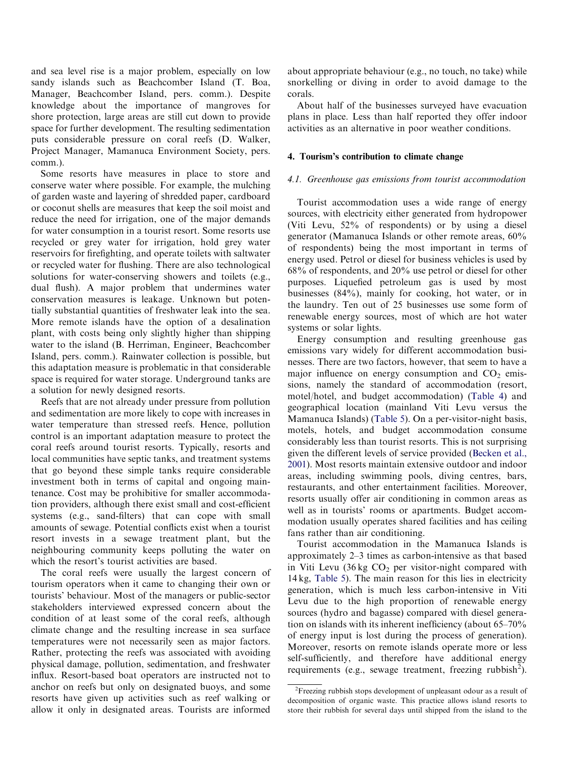and sea level rise is a major problem, especially on low sandy islands such as Beachcomber Island (T. Boa, Manager, Beachcomber Island, pers. comm.). Despite knowledge about the importance of mangroves for shore protection, large areas are still cut down to provide space for further development. The resulting sedimentation puts considerable pressure on coral reefs (D. Walker, Project Manager, Mamanuca Environment Society, pers. comm.).

Some resorts have measures in place to store and conserve water where possible. For example, the mulching of garden waste and layering of shredded paper, cardboard or coconut shells are measures that keep the soil moist and reduce the need for irrigation, one of the major demands for water consumption in a tourist resort. Some resorts use recycled or grey water for irrigation, hold grey water reservoirs for firefighting, and operate toilets with saltwater or recycled water for flushing. There are also technological solutions for water-conserving showers and toilets (e.g., dual flush). A major problem that undermines water conservation measures is leakage. Unknown but potentially substantial quantities of freshwater leak into the sea. More remote islands have the option of a desalination plant, with costs being only slightly higher than shipping water to the island (B. Herriman, Engineer, Beachcomber Island, pers. comm.). Rainwater collection is possible, but this adaptation measure is problematic in that considerable space is required for water storage. Underground tanks are a solution for newly designed resorts.

Reefs that are not already under pressure from pollution and sedimentation are more likely to cope with increases in water temperature than stressed reefs. Hence, pollution control is an important adaptation measure to protect the coral reefs around tourist resorts. Typically, resorts and local communities have septic tanks, and treatment systems that go beyond these simple tanks require considerable investment both in terms of capital and ongoing maintenance. Cost may be prohibitive for smaller accommodation providers, although there exist small and cost-efficient systems (e.g., sand-filters) that can cope with small amounts of sewage. Potential conflicts exist when a tourist resort invests in a sewage treatment plant, but the neighbouring community keeps polluting the water on which the resort's tourist activities are based.

The coral reefs were usually the largest concern of tourism operators when it came to changing their own or tourists' behaviour. Most of the managers or public-sector stakeholders interviewed expressed concern about the condition of at least some of the coral reefs, although climate change and the resulting increase in sea surface temperatures were not necessarily seen as major factors. Rather, protecting the reefs was associated with avoiding physical damage, pollution, sedimentation, and freshwater influx. Resort-based boat operators are instructed not to anchor on reefs but only on designated buoys, and some resorts have given up activities such as reef walking or allow it only in designated areas. Tourists are informed about appropriate behaviour (e.g., no touch, no take) while snorkelling or diving in order to avoid damage to the corals.

About half of the businesses surveyed have evacuation plans in place. Less than half reported they offer indoor activities as an alternative in poor weather conditions.

## 4. Tourism's contribution to climate change

## 4.1. Greenhouse gas emissions from tourist accommodation

Tourist accommodation uses a wide range of energy sources, with electricity either generated from hydropower (Viti Levu, 52% of respondents) or by using a diesel generator (Mamanuca Islands or other remote areas, 60% of respondents) being the most important in terms of energy used. Petrol or diesel for business vehicles is used by 68% of respondents, and 20% use petrol or diesel for other purposes. Liquefied petroleum gas is used by most businesses (84%), mainly for cooking, hot water, or in the laundry. Ten out of 25 businesses use some form of renewable energy sources, most of which are hot water systems or solar lights.

Energy consumption and resulting greenhouse gas emissions vary widely for different accommodation businesses. There are two factors, however, that seem to have a major influence on energy consumption and  $CO<sub>2</sub>$  emissions, namely the standard of accommodation (resort, motel/hotel, and budget accommodation) [\(Table 4](#page-6-0)) and geographical location (mainland Viti Levu versus the Mamanuca Islands) ([Table 5\)](#page-6-0). On a per-visitor-night basis, motels, hotels, and budget accommodation consume considerably less than tourist resorts. This is not surprising given the different levels of service provided [\(Becken et al.,](#page-11-0) [2001\)](#page-11-0). Most resorts maintain extensive outdoor and indoor areas, including swimming pools, diving centres, bars, restaurants, and other entertainment facilities. Moreover, resorts usually offer air conditioning in common areas as well as in tourists' rooms or apartments. Budget accommodation usually operates shared facilities and has ceiling fans rather than air conditioning.

Tourist accommodation in the Mamanuca Islands is approximately 2–3 times as carbon-intensive as that based in Viti Levu (36 kg  $CO<sub>2</sub>$  per visitor-night compared with 14 kg, [Table 5\)](#page-6-0). The main reason for this lies in electricity generation, which is much less carbon-intensive in Viti Levu due to the high proportion of renewable energy sources (hydro and bagasse) compared with diesel generation on islands with its inherent inefficiency (about 65–70% of energy input is lost during the process of generation). Moreover, resorts on remote islands operate more or less self-sufficiently, and therefore have additional energy requirements (e.g., sewage treatment, freezing rubbish<sup>2</sup>).

<sup>&</sup>lt;sup>2</sup>Freezing rubbish stops development of unpleasant odour as a result of decomposition of organic waste. This practice allows island resorts to store their rubbish for several days until shipped from the island to the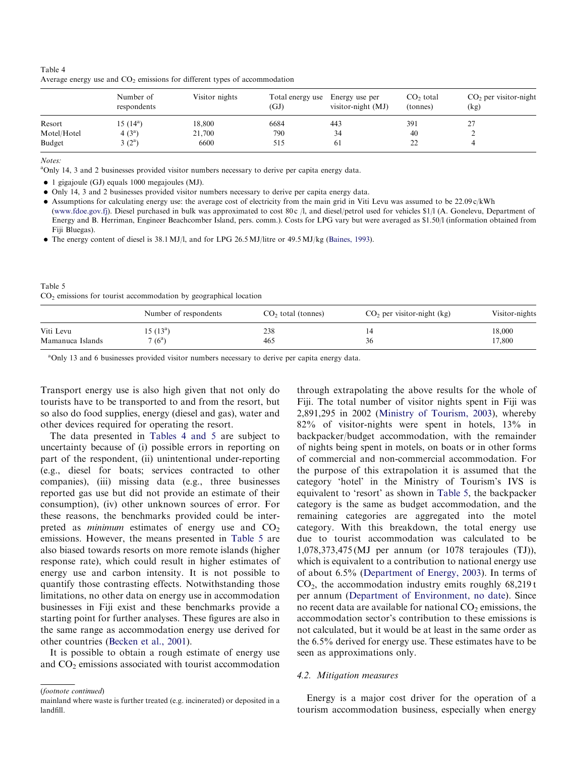<span id="page-6-0"></span>Table 4 Average energy use and  $CO<sub>2</sub>$  emissions for different types of accommodation

|             | Number of<br>respondents | Visitor nights | Total energy use<br>(GJ) | Energy use per<br>visitor-night (MJ) | $CO2$ total<br>(tonnes) | $CO2$ per visitor-night<br>(kg) |
|-------------|--------------------------|----------------|--------------------------|--------------------------------------|-------------------------|---------------------------------|
| Resort      | $15(14^a)$               | 18,800         | 6684                     | 443                                  | 391                     |                                 |
| Motel/Hotel | $4(3^a)$                 | 21,700         | 790                      | 34                                   | 40                      |                                 |
| Budget      | $3(2^a)$                 | 6600           | 515                      | 61                                   | 22                      |                                 |

Notes:

<sup>a</sup>Only 14, 3 and 2 businesses provided visitor numbers necessary to derive per capita energy data.

 $\bullet$  1 gigajoule (GJ) equals 1000 megajoules (MJ).

- Only 14, 3 and 2 businesses provided visitor numbers necessary to derive per capita energy data.

• Assumptions for calculating energy use: the average cost of electricity from the main grid in Viti Levu was assumed to be 22.09 c/kWh

- [\(www.fdoe.gov.fj\)](http://www.fdoe.gov.fj). Diesel purchased in bulk was approximated to cost 80 c /l, and diesel/petrol used for vehicles \$1/l (A. Gonelevu, Department of Energy and B. Herriman, Engineer Beachcomber Island, pers. comm.). Costs for LPG vary but were averaged as \$1.50/l (information obtained from Fiji Bluegas).
- The energy content of diesel is 38.1 MJ/l, and for LPG 26.5 MJ/litre or 49.5 MJ/kg ([Baines, 1993\)](#page-11-0).

Table 5 CO2 emissions for tourist accommodation by geographical location

|                  | Number of respondents | $CO2$ total (tonnes) | $CO2$ per visitor-night (kg) | Visitor-nights |
|------------------|-----------------------|----------------------|------------------------------|----------------|
| Viti Levu        | $15(13^a)$            | 238                  |                              | 18,000         |
| Mamanuca Islands | $7(6^a)$              | 465                  | 36                           | 17,800         |

<sup>a</sup>Only 13 and 6 businesses provided visitor numbers necessary to derive per capita energy data.

Transport energy use is also high given that not only do tourists have to be transported to and from the resort, but so also do food supplies, energy (diesel and gas), water and other devices required for operating the resort.

The data presented in Tables 4 and 5 are subject to uncertainty because of (i) possible errors in reporting on part of the respondent, (ii) unintentional under-reporting (e.g., diesel for boats; services contracted to other companies), (iii) missing data (e.g., three businesses reported gas use but did not provide an estimate of their consumption), (iv) other unknown sources of error. For these reasons, the benchmarks provided could be interpreted as *minimum* estimates of energy use and  $CO<sub>2</sub>$ emissions. However, the means presented in Table 5 are also biased towards resorts on more remote islands (higher response rate), which could result in higher estimates of energy use and carbon intensity. It is not possible to quantify those contrasting effects. Notwithstanding those limitations, no other data on energy use in accommodation businesses in Fiji exist and these benchmarks provide a starting point for further analyses. These figures are also in the same range as accommodation energy use derived for other countries [\(Becken et al., 2001\)](#page-11-0).

It is possible to obtain a rough estimate of energy use and  $CO<sub>2</sub>$  emissions associated with tourist accommodation

through extrapolating the above results for the whole of Fiji. The total number of visitor nights spent in Fiji was 2,891,295 in 2002 [\(Ministry of Tourism, 2003](#page-11-0)), whereby 82% of visitor-nights were spent in hotels, 13% in backpacker/budget accommodation, with the remainder of nights being spent in motels, on boats or in other forms of commercial and non-commercial accommodation. For the purpose of this extrapolation it is assumed that the category 'hotel' in the Ministry of Tourism's IVS is equivalent to 'resort' as shown in Table 5, the backpacker category is the same as budget accommodation, and the remaining categories are aggregated into the motel category. With this breakdown, the total energy use due to tourist accommodation was calculated to be 1,078,373,475 (MJ per annum (or 1078 terajoules (TJ)), which is equivalent to a contribution to national energy use of about 6.5% [\(Department of Energy, 2003\)](#page-11-0). In terms of  $CO<sub>2</sub>$ , the accommodation industry emits roughly 68,219 t per annum [\(Department of Environment, no date](#page-11-0)). Since no recent data are available for national  $CO<sub>2</sub>$  emissions, the accommodation sector's contribution to these emissions is not calculated, but it would be at least in the same order as the 6.5% derived for energy use. These estimates have to be seen as approximations only.

#### 4.2. Mitigation measures

Energy is a major cost driver for the operation of a tourism accommodation business, especially when energy

<sup>(</sup>footnote continued) mainland where waste is further treated (e.g. incinerated) or deposited in a landfill.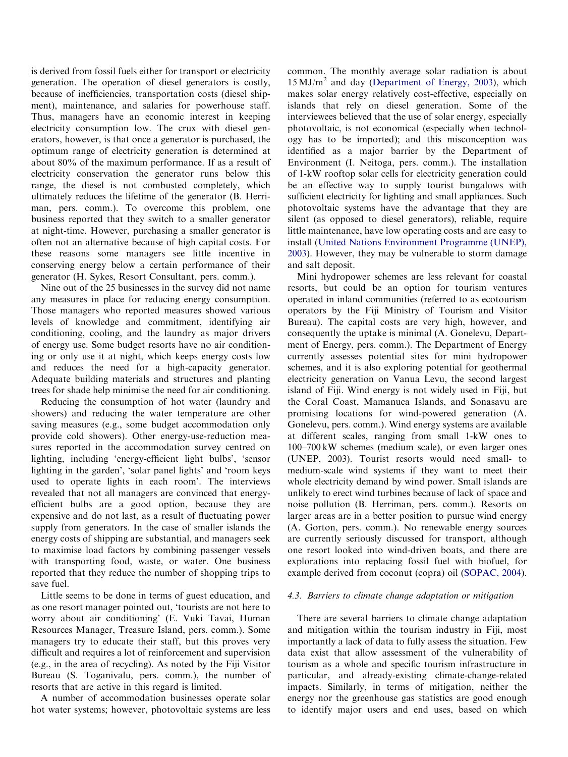is derived from fossil fuels either for transport or electricity generation. The operation of diesel generators is costly, because of inefficiencies, transportation costs (diesel shipment), maintenance, and salaries for powerhouse staff. Thus, managers have an economic interest in keeping electricity consumption low. The crux with diesel generators, however, is that once a generator is purchased, the optimum range of electricity generation is determined at about 80% of the maximum performance. If as a result of electricity conservation the generator runs below this range, the diesel is not combusted completely, which ultimately reduces the lifetime of the generator (B. Herriman, pers. comm.). To overcome this problem, one business reported that they switch to a smaller generator at night-time. However, purchasing a smaller generator is often not an alternative because of high capital costs. For these reasons some managers see little incentive in conserving energy below a certain performance of their generator (H. Sykes, Resort Consultant, pers. comm.).

Nine out of the 25 businesses in the survey did not name any measures in place for reducing energy consumption. Those managers who reported measures showed various levels of knowledge and commitment, identifying air conditioning, cooling, and the laundry as major drivers of energy use. Some budget resorts have no air conditioning or only use it at night, which keeps energy costs low and reduces the need for a high-capacity generator. Adequate building materials and structures and planting trees for shade help minimise the need for air conditioning.

Reducing the consumption of hot water (laundry and showers) and reducing the water temperature are other saving measures (e.g., some budget accommodation only provide cold showers). Other energy-use-reduction measures reported in the accommodation survey centred on lighting, including 'energy-efficient light bulbs', 'sensor lighting in the garden', 'solar panel lights' and 'room keys used to operate lights in each room'. The interviews revealed that not all managers are convinced that energyefficient bulbs are a good option, because they are expensive and do not last, as a result of fluctuating power supply from generators. In the case of smaller islands the energy costs of shipping are substantial, and managers seek to maximise load factors by combining passenger vessels with transporting food, waste, or water. One business reported that they reduce the number of shopping trips to save fuel.

Little seems to be done in terms of guest education, and as one resort manager pointed out, 'tourists are not here to worry about air conditioning' (E. Vuki Tavai, Human Resources Manager, Treasure Island, pers. comm.). Some managers try to educate their staff, but this proves very difficult and requires a lot of reinforcement and supervision (e.g., in the area of recycling). As noted by the Fiji Visitor Bureau (S. Toganivalu, pers. comm.), the number of resorts that are active in this regard is limited.

A number of accommodation businesses operate solar hot water systems; however, photovoltaic systems are less common. The monthly average solar radiation is about  $15 \,\mathrm{MJ/m^2}$  and day ([Department of Energy, 2003](#page-11-0)), which makes solar energy relatively cost-effective, especially on islands that rely on diesel generation. Some of the interviewees believed that the use of solar energy, especially photovoltaic, is not economical (especially when technology has to be imported); and this misconception was identified as a major barrier by the Department of Environment (I. Neitoga, pers. comm.). The installation of 1-kW rooftop solar cells for electricity generation could be an effective way to supply tourist bungalows with sufficient electricity for lighting and small appliances. Such photovoltaic systems have the advantage that they are silent (as opposed to diesel generators), reliable, require little maintenance, have low operating costs and are easy to install ([United Nations Environment Programme \(UNEP\),](#page-12-0) [2003\)](#page-12-0). However, they may be vulnerable to storm damage and salt deposit.

Mini hydropower schemes are less relevant for coastal resorts, but could be an option for tourism ventures operated in inland communities (referred to as ecotourism operators by the Fiji Ministry of Tourism and Visitor Bureau). The capital costs are very high, however, and consequently the uptake is minimal (A. Gonelevu, Department of Energy, pers. comm.). The Department of Energy currently assesses potential sites for mini hydropower schemes, and it is also exploring potential for geothermal electricity generation on Vanua Levu, the second largest island of Fiji. Wind energy is not widely used in Fiji, but the Coral Coast, Mamanuca Islands, and Sonasavu are promising locations for wind-powered generation (A. Gonelevu, pers. comm.). Wind energy systems are available at different scales, ranging from small 1-kW ones to 100–700 kW schemes (medium scale), or even larger ones (UNEP, 2003). Tourist resorts would need small- to medium-scale wind systems if they want to meet their whole electricity demand by wind power. Small islands are unlikely to erect wind turbines because of lack of space and noise pollution (B. Herriman, pers. comm.). Resorts on larger areas are in a better position to pursue wind energy (A. Gorton, pers. comm.). No renewable energy sources are currently seriously discussed for transport, although one resort looked into wind-driven boats, and there are explorations into replacing fossil fuel with biofuel, for example derived from coconut (copra) oil ([SOPAC, 2004\)](#page-12-0).

#### 4.3. Barriers to climate change adaptation or mitigation

There are several barriers to climate change adaptation and mitigation within the tourism industry in Fiji, most importantly a lack of data to fully assess the situation. Few data exist that allow assessment of the vulnerability of tourism as a whole and specific tourism infrastructure in particular, and already-existing climate-change-related impacts. Similarly, in terms of mitigation, neither the energy nor the greenhouse gas statistics are good enough to identify major users and end uses, based on which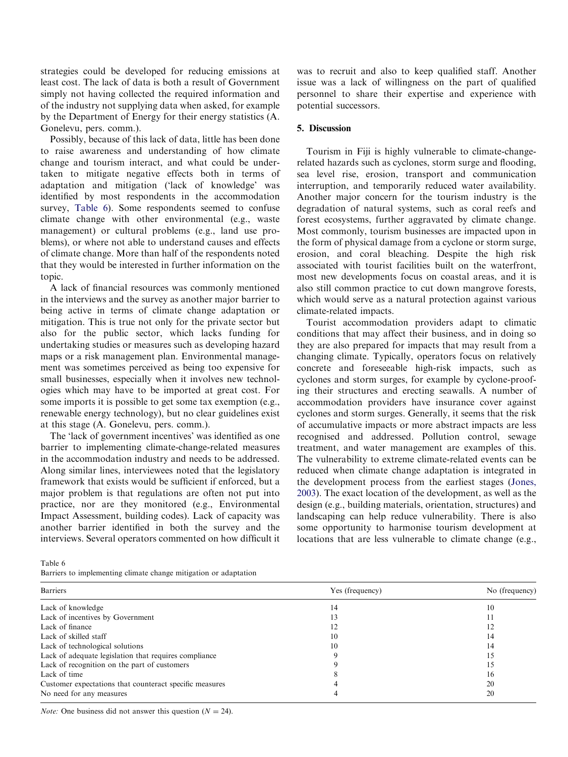strategies could be developed for reducing emissions at least cost. The lack of data is both a result of Government simply not having collected the required information and of the industry not supplying data when asked, for example by the Department of Energy for their energy statistics (A. Gonelevu, pers. comm.).

Possibly, because of this lack of data, little has been done to raise awareness and understanding of how climate change and tourism interact, and what could be undertaken to mitigate negative effects both in terms of adaptation and mitigation ('lack of knowledge' was identified by most respondents in the accommodation survey, Table 6). Some respondents seemed to confuse climate change with other environmental (e.g., waste management) or cultural problems (e.g., land use problems), or where not able to understand causes and effects of climate change. More than half of the respondents noted that they would be interested in further information on the topic.

A lack of financial resources was commonly mentioned in the interviews and the survey as another major barrier to being active in terms of climate change adaptation or mitigation. This is true not only for the private sector but also for the public sector, which lacks funding for undertaking studies or measures such as developing hazard maps or a risk management plan. Environmental management was sometimes perceived as being too expensive for small businesses, especially when it involves new technologies which may have to be imported at great cost. For some imports it is possible to get some tax exemption (e.g., renewable energy technology), but no clear guidelines exist at this stage (A. Gonelevu, pers. comm.).

The 'lack of government incentives' was identified as one barrier to implementing climate-change-related measures in the accommodation industry and needs to be addressed. Along similar lines, interviewees noted that the legislatory framework that exists would be sufficient if enforced, but a major problem is that regulations are often not put into practice, nor are they monitored (e.g., Environmental Impact Assessment, building codes). Lack of capacity was another barrier identified in both the survey and the interviews. Several operators commented on how difficult it was to recruit and also to keep qualified staff. Another issue was a lack of willingness on the part of qualified personnel to share their expertise and experience with potential successors.

## 5. Discussion

Tourism in Fiji is highly vulnerable to climate-changerelated hazards such as cyclones, storm surge and flooding, sea level rise, erosion, transport and communication interruption, and temporarily reduced water availability. Another major concern for the tourism industry is the degradation of natural systems, such as coral reefs and forest ecosystems, further aggravated by climate change. Most commonly, tourism businesses are impacted upon in the form of physical damage from a cyclone or storm surge, erosion, and coral bleaching. Despite the high risk associated with tourist facilities built on the waterfront, most new developments focus on coastal areas, and it is also still common practice to cut down mangrove forests, which would serve as a natural protection against various climate-related impacts.

Tourist accommodation providers adapt to climatic conditions that may affect their business, and in doing so they are also prepared for impacts that may result from a changing climate. Typically, operators focus on relatively concrete and foreseeable high-risk impacts, such as cyclones and storm surges, for example by cyclone-proofing their structures and erecting seawalls. A number of accommodation providers have insurance cover against cyclones and storm surges. Generally, it seems that the risk of accumulative impacts or more abstract impacts are less recognised and addressed. Pollution control, sewage treatment, and water management are examples of this. The vulnerability to extreme climate-related events can be reduced when climate change adaptation is integrated in the development process from the earliest stages [\(Jones,](#page-11-0) [2003](#page-11-0)). The exact location of the development, as well as the design (e.g., building materials, orientation, structures) and landscaping can help reduce vulnerability. There is also some opportunity to harmonise tourism development at locations that are less vulnerable to climate change (e.g.,

Table 6

|  |  | Barriers to implementing climate change mitigation or adaptation |
|--|--|------------------------------------------------------------------|
|  |  |                                                                  |
|  |  |                                                                  |

| Barriers                                                | Yes (frequency) | No (frequency) |
|---------------------------------------------------------|-----------------|----------------|
| Lack of knowledge                                       | 14              | 10             |
| Lack of incentives by Government                        | 13              | 11             |
| Lack of finance                                         | 12              | 12             |
| Lack of skilled staff                                   | 10              | 14             |
| Lack of technological solutions                         | 10              | 14             |
| Lack of adequate legislation that requires compliance   |                 | 15             |
| Lack of recognition on the part of customers            |                 | 15             |
| Lack of time                                            |                 | 16             |
| Customer expectations that counteract specific measures |                 | 20             |
| No need for any measures                                |                 | 20             |

*Note:* One business did not answer this question ( $N = 24$ ).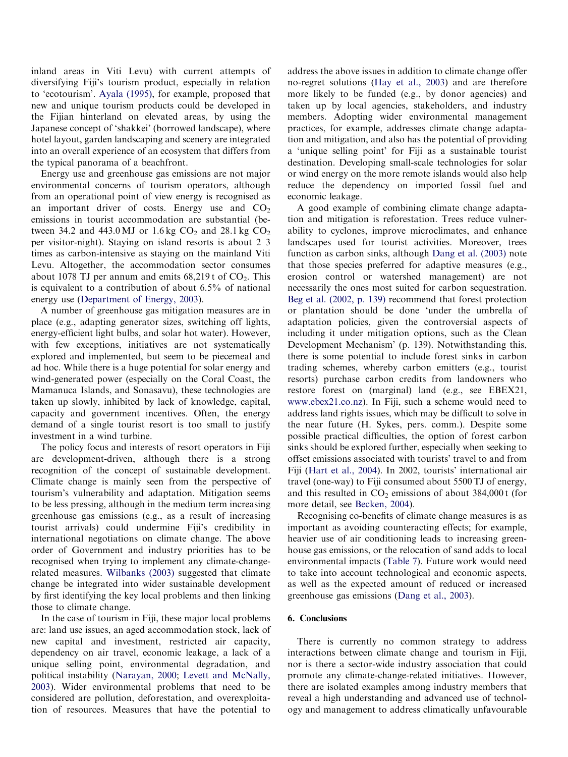inland areas in Viti Levu) with current attempts of diversifying Fiji's tourism product, especially in relation to 'ecotourism'. [Ayala \(1995\),](#page-11-0) for example, proposed that new and unique tourism products could be developed in the Fijian hinterland on elevated areas, by using the Japanese concept of 'shakkei' (borrowed landscape), where hotel layout, garden landscaping and scenery are integrated into an overall experience of an ecosystem that differs from the typical panorama of a beachfront.

Energy use and greenhouse gas emissions are not major environmental concerns of tourism operators, although from an operational point of view energy is recognised as an important driver of costs. Energy use and  $CO<sub>2</sub>$ emissions in tourist accommodation are substantial (between 34.2 and 443.0 MJ or  $1.6 \text{ kg CO}_2$  and  $28.1 \text{ kg CO}_2$ per visitor-night). Staying on island resorts is about 2–3 times as carbon-intensive as staying on the mainland Viti Levu. Altogether, the accommodation sector consumes about 1078 TJ per annum and emits  $68,219$  t of  $CO<sub>2</sub>$ . This is equivalent to a contribution of about 6.5% of national energy use [\(Department of Energy, 2003](#page-11-0)).

A number of greenhouse gas mitigation measures are in place (e.g., adapting generator sizes, switching off lights, energy-efficient light bulbs, and solar hot water). However, with few exceptions, initiatives are not systematically explored and implemented, but seem to be piecemeal and ad hoc. While there is a huge potential for solar energy and wind-generated power (especially on the Coral Coast, the Mamanuca Islands, and Sonasavu), these technologies are taken up slowly, inhibited by lack of knowledge, capital, capacity and government incentives. Often, the energy demand of a single tourist resort is too small to justify investment in a wind turbine.

The policy focus and interests of resort operators in Fiji are development-driven, although there is a strong recognition of the concept of sustainable development. Climate change is mainly seen from the perspective of tourism's vulnerability and adaptation. Mitigation seems to be less pressing, although in the medium term increasing greenhouse gas emissions (e.g., as a result of increasing tourist arrivals) could undermine Fiji's credibility in international negotiations on climate change. The above order of Government and industry priorities has to be recognised when trying to implement any climate-changerelated measures. [Wilbanks \(2003\)](#page-12-0) suggested that climate change be integrated into wider sustainable development by first identifying the key local problems and then linking those to climate change.

In the case of tourism in Fiji, these major local problems are: land use issues, an aged accommodation stock, lack of new capital and investment, restricted air capacity, dependency on air travel, economic leakage, a lack of a unique selling point, environmental degradation, and political instability [\(Narayan, 2000](#page-11-0); [Levett and McNally,](#page-11-0) [2003\)](#page-11-0). Wider environmental problems that need to be considered are pollution, deforestation, and overexploitation of resources. Measures that have the potential to

address the above issues in addition to climate change offer no-regret solutions ([Hay et al., 2003\)](#page-11-0) and are therefore more likely to be funded (e.g., by donor agencies) and taken up by local agencies, stakeholders, and industry members. Adopting wider environmental management practices, for example, addresses climate change adaptation and mitigation, and also has the potential of providing a 'unique selling point' for Fiji as a sustainable tourist destination. Developing small-scale technologies for solar or wind energy on the more remote islands would also help reduce the dependency on imported fossil fuel and economic leakage.

A good example of combining climate change adaptation and mitigation is reforestation. Trees reduce vulnerability to cyclones, improve microclimates, and enhance landscapes used for tourist activities. Moreover, trees function as carbon sinks, although [Dang et al. \(2003\)](#page-11-0) note that those species preferred for adaptive measures (e.g., erosion control or watershed management) are not necessarily the ones most suited for carbon sequestration. [Beg et al. \(2002, p. 139\)](#page-11-0) recommend that forest protection or plantation should be done 'under the umbrella of adaptation policies, given the controversial aspects of including it under mitigation options, such as the Clean Development Mechanism' (p. 139). Notwithstanding this, there is some potential to include forest sinks in carbon trading schemes, whereby carbon emitters (e.g., tourist resorts) purchase carbon credits from landowners who restore forest on (marginal) land (e.g., see EBEX21, [www.ebex21.co.nz](http://www.ebex21.co.nz)). In Fiji, such a scheme would need to address land rights issues, which may be difficult to solve in the near future (H. Sykes, pers. comm.). Despite some possible practical difficulties, the option of forest carbon sinks should be explored further, especially when seeking to offset emissions associated with tourists' travel to and from Fiji [\(Hart et al., 2004](#page-11-0)). In 2002, tourists' international air travel (one-way) to Fiji consumed about 5500 TJ of energy, and this resulted in  $CO<sub>2</sub>$  emissions of about 384,000 t (for more detail, see [Becken, 2004](#page-11-0)).

Recognising co-benefits of climate change measures is as important as avoiding counteracting effects; for example, heavier use of air conditioning leads to increasing greenhouse gas emissions, or the relocation of sand adds to local environmental impacts [\(Table 7\)](#page-10-0). Future work would need to take into account technological and economic aspects, as well as the expected amount of reduced or increased greenhouse gas emissions [\(Dang et al., 2003\)](#page-11-0).

## 6. Conclusions

There is currently no common strategy to address interactions between climate change and tourism in Fiji, nor is there a sector-wide industry association that could promote any climate-change-related initiatives. However, there are isolated examples among industry members that reveal a high understanding and advanced use of technology and management to address climatically unfavourable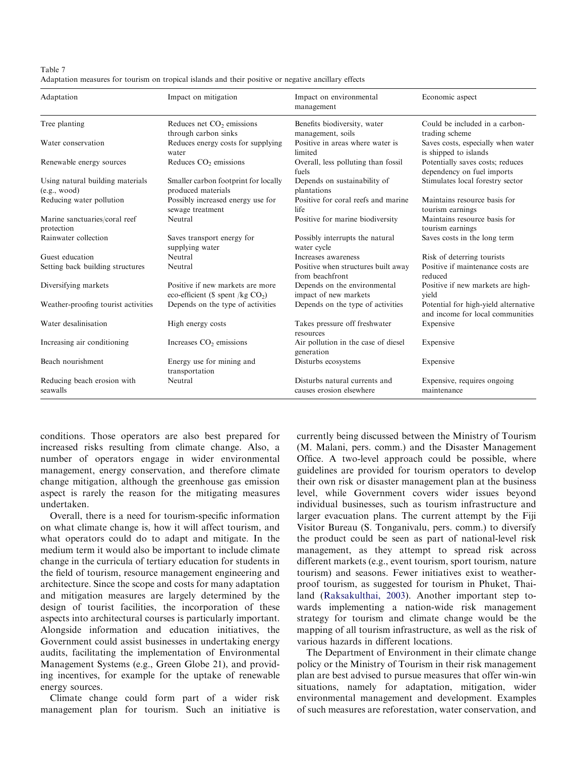<span id="page-10-0"></span>Table 7

Adaptation measures for tourism on tropical islands and their positive or negative ancillary effects

| Adaptation                                       | Impact on mitigation                                                    | Impact on environmental<br>management                     | Economic aspect                                                          |
|--------------------------------------------------|-------------------------------------------------------------------------|-----------------------------------------------------------|--------------------------------------------------------------------------|
| Tree planting                                    | Reduces net CO <sub>2</sub> emissions<br>through carbon sinks           | Benefits biodiversity, water<br>management, soils         | Could be included in a carbon-<br>trading scheme                         |
| Water conservation                               | Reduces energy costs for supplying<br>water                             | Positive in areas where water is<br>limited               | Saves costs, especially when water<br>is shipped to islands              |
| Renewable energy sources                         | Reduces CO <sub>2</sub> emissions                                       | Overall, less polluting than fossil<br>fuels              | Potentially saves costs; reduces<br>dependency on fuel imports           |
| Using natural building materials<br>(e.g., wood) | Smaller carbon footprint for locally<br>produced materials              | Depends on sustainability of<br>plantations               | Stimulates local forestry sector                                         |
| Reducing water pollution                         | Possibly increased energy use for<br>sewage treatment                   | Positive for coral reefs and marine<br>life.              | Maintains resource basis for<br>tourism earnings                         |
| Marine sanctuaries/coral reef<br>protection      | Neutral                                                                 | Positive for marine biodiversity                          | Maintains resource basis for<br>tourism earnings                         |
| Rainwater collection                             | Saves transport energy for<br>supplying water                           | Possibly interrupts the natural<br>water cycle            | Saves costs in the long term                                             |
| Guest education                                  | Neutral                                                                 | Increases awareness                                       | Risk of deterring tourists                                               |
| Setting back building structures                 | Neutral                                                                 | Positive when structures built away<br>from beachfront    | Positive if maintenance costs are<br>reduced                             |
| Diversifying markets                             | Positive if new markets are more<br>eco-efficient (\$ spent /kg $CO2$ ) | Depends on the environmental<br>impact of new markets     | Positive if new markets are high-<br>vield                               |
| Weather-proofing tourist activities              | Depends on the type of activities                                       | Depends on the type of activities                         | Potential for high-yield alternative<br>and income for local communities |
| Water desalinisation                             | High energy costs                                                       | Takes pressure off freshwater<br>resources                | Expensive                                                                |
| Increasing air conditioning                      | Increases CO <sub>2</sub> emissions                                     | Air pollution in the case of diesel<br>generation         | Expensive                                                                |
| Beach nourishment                                | Energy use for mining and<br>transportation                             | Disturbs ecosystems                                       | Expensive                                                                |
| Reducing beach erosion with<br>seawalls          | Neutral                                                                 | Disturbs natural currents and<br>causes erosion elsewhere | Expensive, requires ongoing<br>maintenance                               |

conditions. Those operators are also best prepared for increased risks resulting from climate change. Also, a number of operators engage in wider environmental management, energy conservation, and therefore climate change mitigation, although the greenhouse gas emission aspect is rarely the reason for the mitigating measures undertaken.

Overall, there is a need for tourism-specific information on what climate change is, how it will affect tourism, and what operators could do to adapt and mitigate. In the medium term it would also be important to include climate change in the curricula of tertiary education for students in the field of tourism, resource management engineering and architecture. Since the scope and costs for many adaptation and mitigation measures are largely determined by the design of tourist facilities, the incorporation of these aspects into architectural courses is particularly important. Alongside information and education initiatives, the Government could assist businesses in undertaking energy audits, facilitating the implementation of Environmental Management Systems (e.g., Green Globe 21), and providing incentives, for example for the uptake of renewable energy sources.

Climate change could form part of a wider risk management plan for tourism. Such an initiative is currently being discussed between the Ministry of Tourism (M. Malani, pers. comm.) and the Disaster Management Office. A two-level approach could be possible, where guidelines are provided for tourism operators to develop their own risk or disaster management plan at the business level, while Government covers wider issues beyond individual businesses, such as tourism infrastructure and larger evacuation plans. The current attempt by the Fiji Visitor Bureau (S. Tonganivalu, pers. comm.) to diversify the product could be seen as part of national-level risk management, as they attempt to spread risk across different markets (e.g., event tourism, sport tourism, nature tourism) and seasons. Fewer initiatives exist to weatherproof tourism, as suggested for tourism in Phuket, Thailand [\(Raksakulthai, 2003](#page-11-0)). Another important step towards implementing a nation-wide risk management strategy for tourism and climate change would be the mapping of all tourism infrastructure, as well as the risk of various hazards in different locations.

The Department of Environment in their climate change policy or the Ministry of Tourism in their risk management plan are best advised to pursue measures that offer win-win situations, namely for adaptation, mitigation, wider environmental management and development. Examples of such measures are reforestation, water conservation, and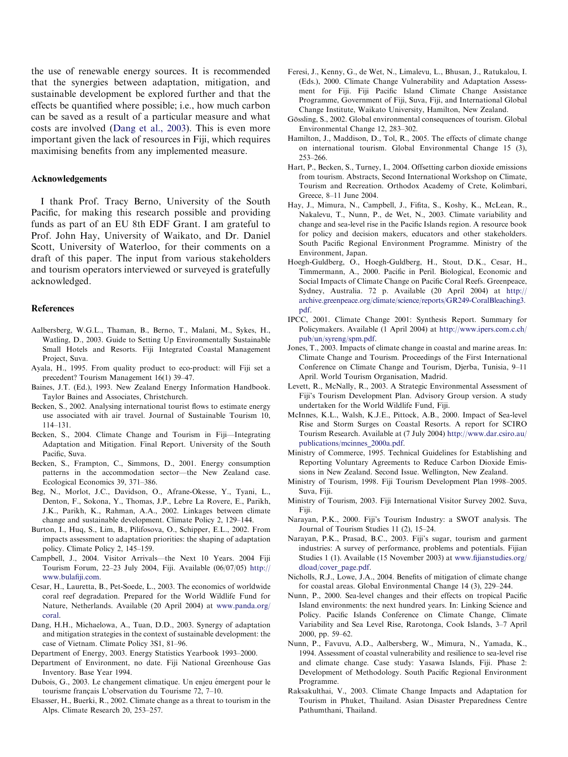<span id="page-11-0"></span>the use of renewable energy sources. It is recommended that the synergies between adaptation, mitigation, and sustainable development be explored further and that the effects be quantified where possible; i.e., how much carbon can be saved as a result of a particular measure and what costs are involved (Dang et al., 2003). This is even more important given the lack of resources in Fiji, which requires maximising benefits from any implemented measure.

#### Acknowledgements

I thank Prof. Tracy Berno, University of the South Pacific, for making this research possible and providing funds as part of an EU 8th EDF Grant. I am grateful to Prof. John Hay, University of Waikato, and Dr. Daniel Scott, University of Waterloo, for their comments on a draft of this paper. The input from various stakeholders and tourism operators interviewed or surveyed is gratefully acknowledged.

#### References

- Aalbersberg, W.G.L., Thaman, B., Berno, T., Malani, M., Sykes, H., Watling, D., 2003. Guide to Setting Up Environmentally Sustainable Small Hotels and Resorts. Fiji Integrated Coastal Management Project, Suva.
- Ayala, H., 1995. From quality product to eco-product: will Fiji set a precedent? Tourism Management 16(1) 39–47.
- Baines, J.T. (Ed.), 1993. New Zealand Energy Information Handbook. Taylor Baines and Associates, Christchurch.
- Becken, S., 2002. Analysing international tourist flows to estimate energy use associated with air travel. Journal of Sustainable Tourism 10, 114–131.
- Becken, S., 2004. Climate Change and Tourism in Fiji—Integrating Adaptation and Mitigation. Final Report. University of the South Pacific, Suva.
- Becken, S., Frampton, C., Simmons, D., 2001. Energy consumption patterns in the accommodation sector—the New Zealand case. Ecological Economics 39, 371–386.
- Beg, N., Morlot, J.C., Davidson, O., Afrane-Okesse, Y., Tyani, L., Denton, F., Sokona, Y., Thomas, J.P., Lebre La Rovere, E., Parikh, J.K., Parikh, K., Rahman, A.A., 2002. Linkages between climate change and sustainable development. Climate Policy 2, 129–144.
- Burton, I., Huq, S., Lim, B., Pilifosova, O., Schipper, E.L., 2002. From impacts assessment to adaptation priorities: the shaping of adaptation policy. Climate Policy 2, 145–159.
- Campbell, J., 2004. Visitor Arrivals—the Next 10 Years. 2004 Fiji Tourism Forum, 22–23 July 2004, Fiji. Available (06/07/05) [http://](http://www.bulafiji.com) [www.bulafiji.com](http://www.bulafiji.com).
- Cesar, H., Lauretta, B., Pet-Soede, L., 2003. The economics of worldwide coral reef degradation. Prepared for the World Wildlife Fund for Nature, Netherlands. Available (20 April 2004) at [www.panda.org/](http://www.panda.org/coral) [coral.](http://www.panda.org/coral)
- Dang, H.H., Michaelowa, A., Tuan, D.D., 2003. Synergy of adaptation and mitigation strategies in the context of sustainable development: the case of Vietnam. Climate Policy 3S1, 81–96.
- Department of Energy, 2003. Energy Statistics Yearbook 1993–2000.
- Department of Environment, no date. Fiji National Greenhouse Gas Inventory. Base Year 1994.
- Dubois, G., 2003. Le changement climatique. Un enjeu émergent pour le tourisme français L'observation du Tourisme 72, 7-10.
- Elsasser, H., Buerki, R., 2002. Climate change as a threat to tourism in the Alps. Climate Research 20, 253–257.
- Feresi, J., Kenny, G., de Wet, N., Limalevu, L., Bhusan, J., Ratukalou, I. (Eds.), 2000. Climate Change Vulnerability and Adaptation Assessment for Fiji. Fiji Pacific Island Climate Change Assistance Programme, Government of Fiji, Suva, Fiji, and International Global Change Institute, Waikato University, Hamilton, New Zealand.
- Gössling, S., 2002. Global environmental consequences of tourism. Global Environmental Change 12, 283–302.
- Hamilton, J., Maddison, D., Tol, R., 2005. The effects of climate change on international tourism. Global Environmental Change 15 (3), 253–266.
- Hart, P., Becken, S., Turney, I., 2004. Offsetting carbon dioxide emissions from tourism. Abstracts, Second International Workshop on Climate, Tourism and Recreation. Orthodox Academy of Crete, Kolimbari, Greece, 8–11 June 2004.
- Hay, J., Mimura, N., Campbell, J., Fifita, S., Koshy, K., McLean, R., Nakalevu, T., Nunn, P., de Wet, N., 2003. Climate variability and change and sea-level rise in the Pacific Islands region. A resource book for policy and decision makers, educators and other stakeholders. South Pacific Regional Environment Programme. Ministry of the Environment, Japan.
- Hoegh-Guldberg, O., Hoegh-Guldberg, H., Stout, D.K., Cesar, H., Timmermann, A., 2000. Pacific in Peril. Biological, Economic and Social Impacts of Climate Change on Pacific Coral Reefs. Greenpeace, Sydney, Australia. 72 p. Available (20 April 2004) at [http://](http://archive.greenpeace.org/climate/science/reports/GR249-CoralBleaching3.pdf) [archive.greenpeace.org/climate/science/reports/GR249-CoralBleaching3.](http://archive.greenpeace.org/climate/science/reports/GR249-CoralBleaching3.pdf) [pdf](http://archive.greenpeace.org/climate/science/reports/GR249-CoralBleaching3.pdf).
- IPCC, 2001. Climate Change 2001: Synthesis Report. Summary for Policymakers. Available (1 April 2004) at [http://www.ipers.com.c.ch/](http://www.ipers.com.c.ch/pub/un/syreng/spm.pdf) [pub/un/syreng/spm.pdf](http://www.ipers.com.c.ch/pub/un/syreng/spm.pdf).
- Jones, T., 2003. Impacts of climate change in coastal and marine areas. In: Climate Change and Tourism. Proceedings of the First International Conference on Climate Change and Tourism, Djerba, Tunisia, 9–11 April. World Tourism Organisation, Madrid.
- Levett, R., McNally, R., 2003. A Strategic Environmental Assessment of Fiji's Tourism Development Plan. Advisory Group version. A study undertaken for the World Wildlife Fund, Fiji.
- McInnes, K.L., Walsh, K.J.E., Pittock, A.B., 2000. Impact of Sea-level Rise and Storm Surges on Coastal Resorts. A report for SCIRO Tourism Research. Available at (7 July 2004) [http://www.dar.csiro.au/](http://www.dar.csiro.au/publications/mcinnes_2000a.pdf) [publications/mcinnes\\_2000a.pdf.](http://www.dar.csiro.au/publications/mcinnes_2000a.pdf)
- Ministry of Commerce, 1995. Technical Guidelines for Establishing and Reporting Voluntary Agreements to Reduce Carbon Dioxide Emissions in New Zealand. Second Issue. Wellington, New Zealand.
- Ministry of Tourism, 1998. Fiji Tourism Development Plan 1998–2005. Suva, Fiji.
- Ministry of Tourism, 2003. Fiji International Visitor Survey 2002. Suva, Fiji.
- Narayan, P.K., 2000. Fiji's Tourism Industry: a SWOT analysis. The Journal of Tourism Studies 11 (2), 15–24.
- Narayan, P.K., Prasad, B.C., 2003. Fiji's sugar, tourism and garment industries: A survey of performance, problems and potentials. Fijian Studies 1 (1). Available (15 November 2003) at [www.fijianstudies.org/](http://www.fijianstudies.org/dload/cover_page.pdf) [dload/cover\\_page.pdf](http://www.fijianstudies.org/dload/cover_page.pdf).
- Nicholls, R.J., Lowe, J.A., 2004. Benefits of mitigation of climate change for coastal areas. Global Environmental Change 14 (3), 229–244.
- Nunn, P., 2000. Sea-level changes and their effects on tropical Pacific Island environments: the next hundred years. In: Linking Science and Policy. Pacific Islands Conference on Climate Change, Climate Variability and Sea Level Rise, Rarotonga, Cook Islands, 3–7 April 2000, pp. 59–62.
- Nunn, P., Favuvu, A.D., Aalbersberg, W., Mimura, N., Yamada, K., 1994. Assessment of coastal vulnerability and resilience to sea-level rise and climate change. Case study: Yasawa Islands, Fiji. Phase 2: Development of Methodology. South Pacific Regional Environment Programme.
- Raksakulthai, V., 2003. Climate Change Impacts and Adaptation for Tourism in Phuket, Thailand. Asian Disaster Preparedness Centre Pathumthani, Thailand.